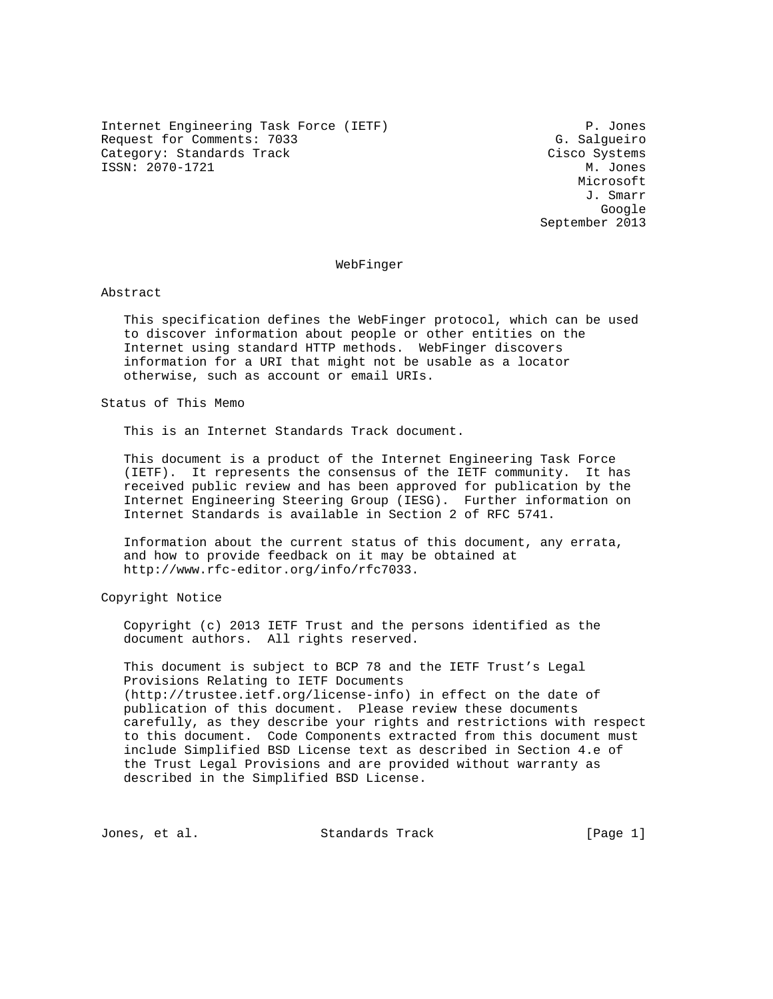Internet Engineering Task Force (IETF) P. Jones Request for Comments: 7033 G. Salgueiro Category: Standards Track Cisco Systems ISSN: 2070-1721 M. Jones

 Microsoft J. Smarr google is a straightforward of the control of the control of the control of the control of the control of the c September 2013

### WebFinger

Abstract

 This specification defines the WebFinger protocol, which can be used to discover information about people or other entities on the Internet using standard HTTP methods. WebFinger discovers information for a URI that might not be usable as a locator otherwise, such as account or email URIs.

Status of This Memo

This is an Internet Standards Track document.

 This document is a product of the Internet Engineering Task Force (IETF). It represents the consensus of the IETF community. It has received public review and has been approved for publication by the Internet Engineering Steering Group (IESG). Further information on Internet Standards is available in Section 2 of RFC 5741.

 Information about the current status of this document, any errata, and how to provide feedback on it may be obtained at http://www.rfc-editor.org/info/rfc7033.

Copyright Notice

 Copyright (c) 2013 IETF Trust and the persons identified as the document authors. All rights reserved.

 This document is subject to BCP 78 and the IETF Trust's Legal Provisions Relating to IETF Documents (http://trustee.ietf.org/license-info) in effect on the date of publication of this document. Please review these documents carefully, as they describe your rights and restrictions with respect to this document. Code Components extracted from this document must include Simplified BSD License text as described in Section 4.e of the Trust Legal Provisions and are provided without warranty as described in the Simplified BSD License.

Jones, et al. Standards Track [Page 1]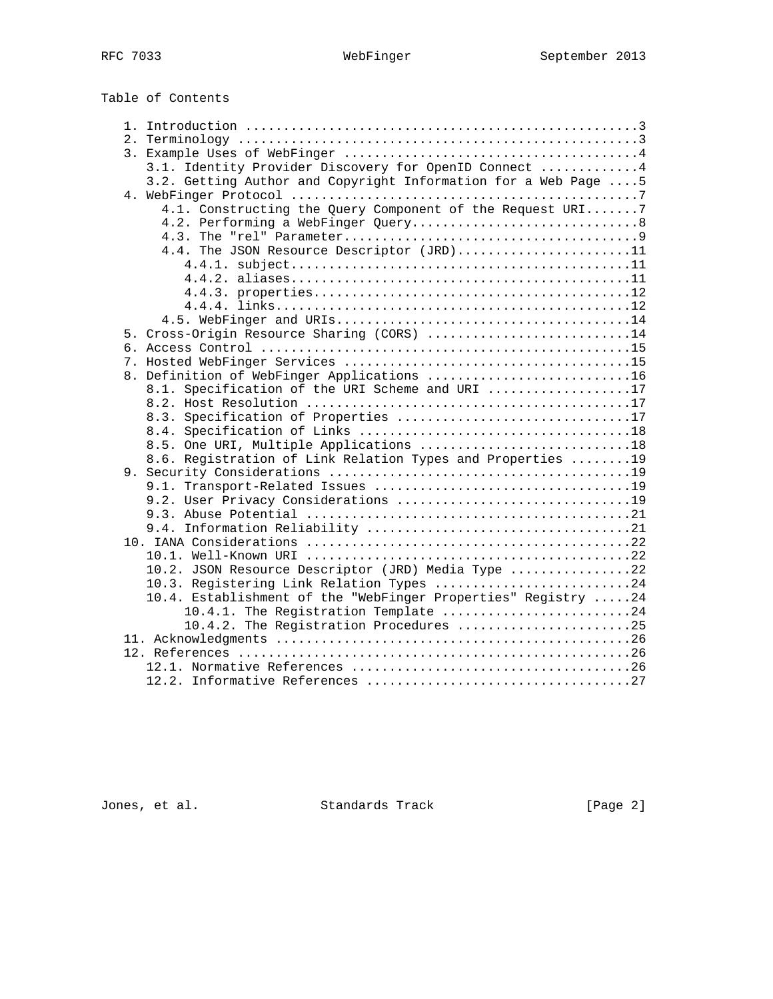Table of Contents

|  | 3.1. Identity Provider Discovery for OpenID Connect 4          |  |
|--|----------------------------------------------------------------|--|
|  | 3.2. Getting Author and Copyright Information for a Web Page 5 |  |
|  |                                                                |  |
|  | 4.1. Constructing the Query Component of the Request URI7      |  |
|  | 4.2. Performing a WebFinger Query8                             |  |
|  |                                                                |  |
|  | 4.4. The JSON Resource Descriptor (JRD)11                      |  |
|  |                                                                |  |
|  |                                                                |  |
|  |                                                                |  |
|  |                                                                |  |
|  |                                                                |  |
|  | 5. Cross-Origin Resource Sharing (CORS) 14                     |  |
|  |                                                                |  |
|  |                                                                |  |
|  | 8. Definition of WebFinger Applications 16                     |  |
|  | 8.1. Specification of the URI Scheme and URI 17                |  |
|  |                                                                |  |
|  | 8.3. Specification of Properties 17                            |  |
|  |                                                                |  |
|  | 8.5. One URI, Multiple Applications 18                         |  |
|  | 8.6. Registration of Link Relation Types and Properties  19    |  |
|  |                                                                |  |
|  |                                                                |  |
|  | 9.2. User Privacy Considerations 19                            |  |
|  |                                                                |  |
|  |                                                                |  |
|  |                                                                |  |
|  |                                                                |  |
|  | 10.2. JSON Resource Descriptor (JRD) Media Type 22             |  |
|  | 10.3. Registering Link Relation Types 24                       |  |
|  | 10.4. Establishment of the "WebFinger Properties" Registry 24  |  |
|  | 10.4.1. The Registration Template 24                           |  |
|  | 10.4.2. The Registration Procedures 25                         |  |
|  |                                                                |  |
|  |                                                                |  |
|  |                                                                |  |
|  |                                                                |  |

Jones, et al. Standards Track [Page 2]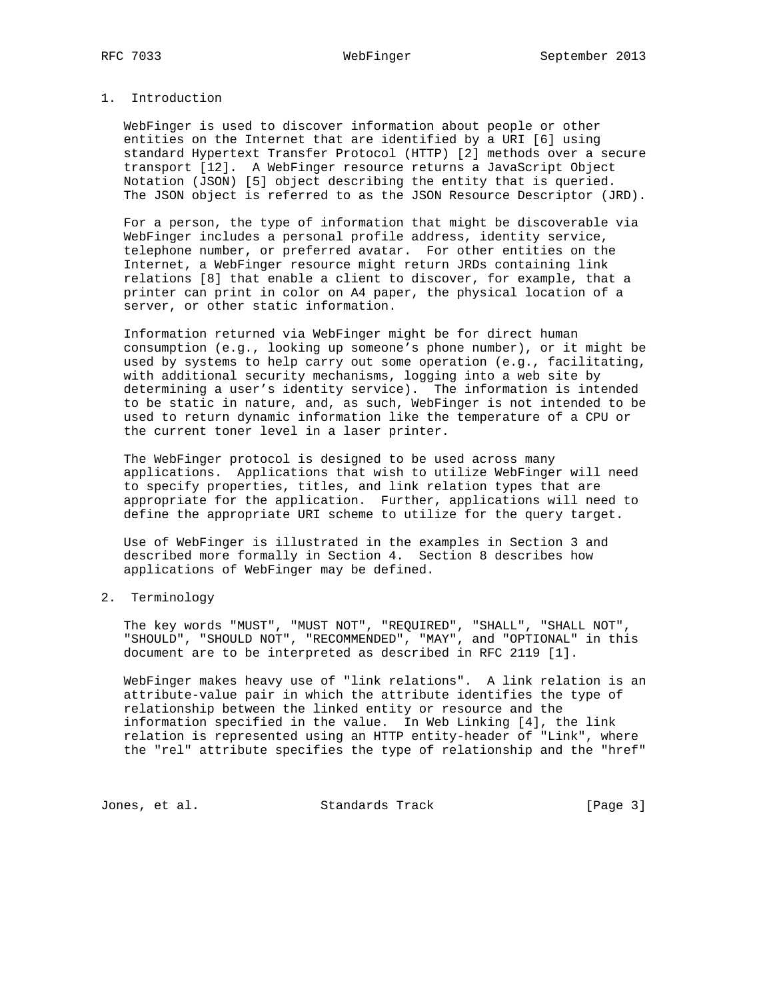# 1. Introduction

 WebFinger is used to discover information about people or other entities on the Internet that are identified by a URI [6] using standard Hypertext Transfer Protocol (HTTP) [2] methods over a secure transport [12]. A WebFinger resource returns a JavaScript Object Notation (JSON) [5] object describing the entity that is queried. The JSON object is referred to as the JSON Resource Descriptor (JRD).

 For a person, the type of information that might be discoverable via WebFinger includes a personal profile address, identity service, telephone number, or preferred avatar. For other entities on the Internet, a WebFinger resource might return JRDs containing link relations [8] that enable a client to discover, for example, that a printer can print in color on A4 paper, the physical location of a server, or other static information.

 Information returned via WebFinger might be for direct human consumption (e.g., looking up someone's phone number), or it might be used by systems to help carry out some operation (e.g., facilitating, with additional security mechanisms, logging into a web site by determining a user's identity service). The information is intended to be static in nature, and, as such, WebFinger is not intended to be used to return dynamic information like the temperature of a CPU or the current toner level in a laser printer.

 The WebFinger protocol is designed to be used across many applications. Applications that wish to utilize WebFinger will need to specify properties, titles, and link relation types that are appropriate for the application. Further, applications will need to define the appropriate URI scheme to utilize for the query target.

 Use of WebFinger is illustrated in the examples in Section 3 and described more formally in Section 4. Section 8 describes how applications of WebFinger may be defined.

# 2. Terminology

 The key words "MUST", "MUST NOT", "REQUIRED", "SHALL", "SHALL NOT", "SHOULD", "SHOULD NOT", "RECOMMENDED", "MAY", and "OPTIONAL" in this document are to be interpreted as described in RFC 2119 [1].

 WebFinger makes heavy use of "link relations". A link relation is an attribute-value pair in which the attribute identifies the type of relationship between the linked entity or resource and the information specified in the value. In Web Linking [4], the link relation is represented using an HTTP entity-header of "Link", where the "rel" attribute specifies the type of relationship and the "href"

Jones, et al. Standards Track [Page 3]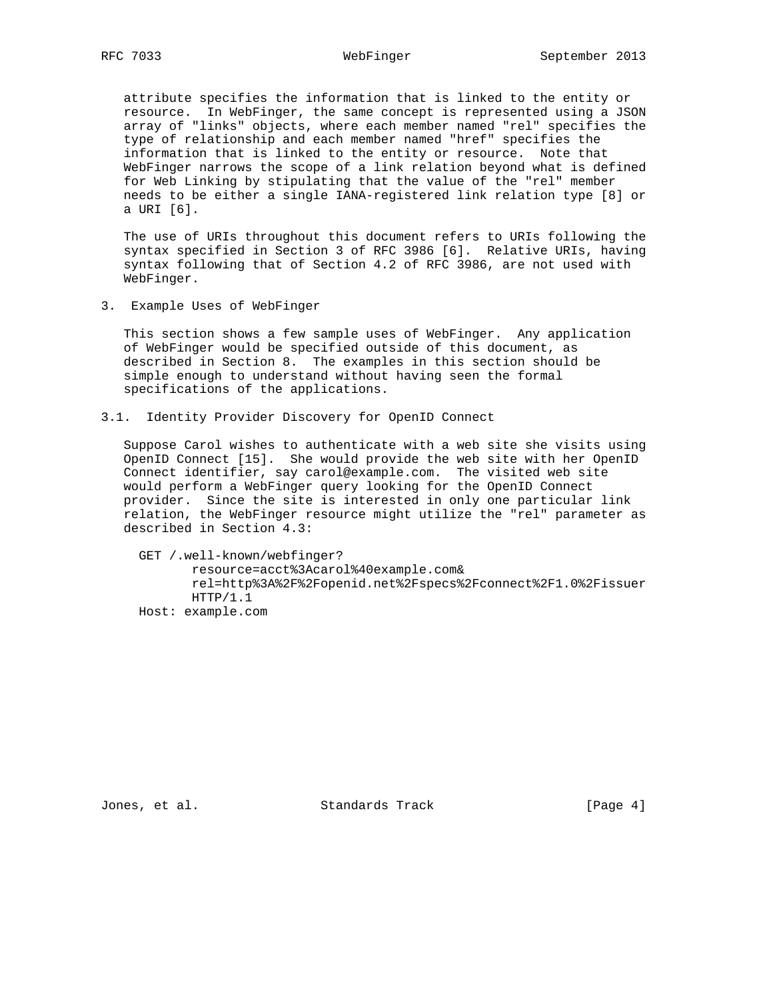attribute specifies the information that is linked to the entity or resource. In WebFinger, the same concept is represented using a JSON array of "links" objects, where each member named "rel" specifies the type of relationship and each member named "href" specifies the information that is linked to the entity or resource. Note that WebFinger narrows the scope of a link relation beyond what is defined for Web Linking by stipulating that the value of the "rel" member needs to be either a single IANA-registered link relation type [8] or a URI [6].

 The use of URIs throughout this document refers to URIs following the syntax specified in Section 3 of RFC 3986 [6]. Relative URIs, having syntax following that of Section 4.2 of RFC 3986, are not used with WebFinger.

3. Example Uses of WebFinger

 This section shows a few sample uses of WebFinger. Any application of WebFinger would be specified outside of this document, as described in Section 8. The examples in this section should be simple enough to understand without having seen the formal specifications of the applications.

3.1. Identity Provider Discovery for OpenID Connect

 Suppose Carol wishes to authenticate with a web site she visits using OpenID Connect [15]. She would provide the web site with her OpenID Connect identifier, say carol@example.com. The visited web site would perform a WebFinger query looking for the OpenID Connect provider. Since the site is interested in only one particular link relation, the WebFinger resource might utilize the "rel" parameter as described in Section 4.3:

 GET /.well-known/webfinger? resource=acct%3Acarol%40example.com& rel=http%3A%2F%2Fopenid.net%2Fspecs%2Fconnect%2F1.0%2Fissuer HTTP/1.1 Host: example.com

Jones, et al. Standards Track [Page 4]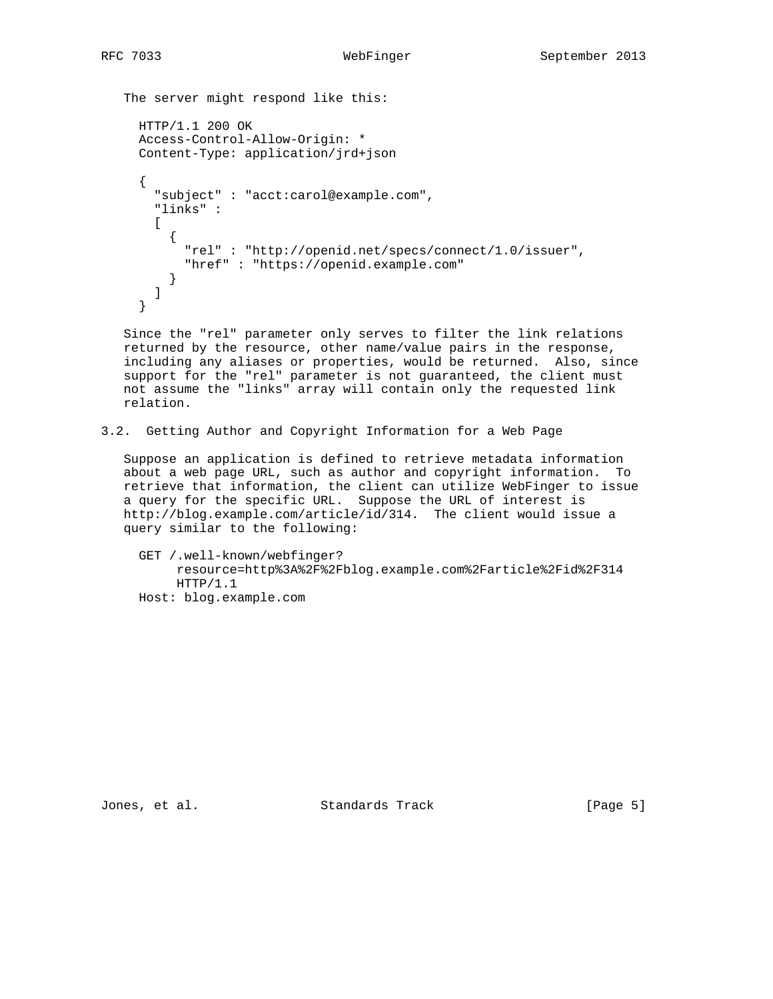The server might respond like this:

```
 HTTP/1.1 200 OK
 Access-Control-Allow-Origin: *
 Content-Type: application/jrd+json
 {
   "subject" : "acct:carol@example.com",
   "links" :
  \Gamma {
       "rel" : "http://openid.net/specs/connect/1.0/issuer",
       "href" : "https://openid.example.com"
     }
   ]
 }
```
 Since the "rel" parameter only serves to filter the link relations returned by the resource, other name/value pairs in the response, including any aliases or properties, would be returned. Also, since support for the "rel" parameter is not guaranteed, the client must not assume the "links" array will contain only the requested link relation.

3.2. Getting Author and Copyright Information for a Web Page

 Suppose an application is defined to retrieve metadata information about a web page URL, such as author and copyright information. To retrieve that information, the client can utilize WebFinger to issue a query for the specific URL. Suppose the URL of interest is http://blog.example.com/article/id/314. The client would issue a query similar to the following:

```
 GET /.well-known/webfinger?
      resource=http%3A%2F%2Fblog.example.com%2Farticle%2Fid%2F314
     HTTP/1.1
 Host: blog.example.com
```
Jones, et al. Standards Track [Page 5]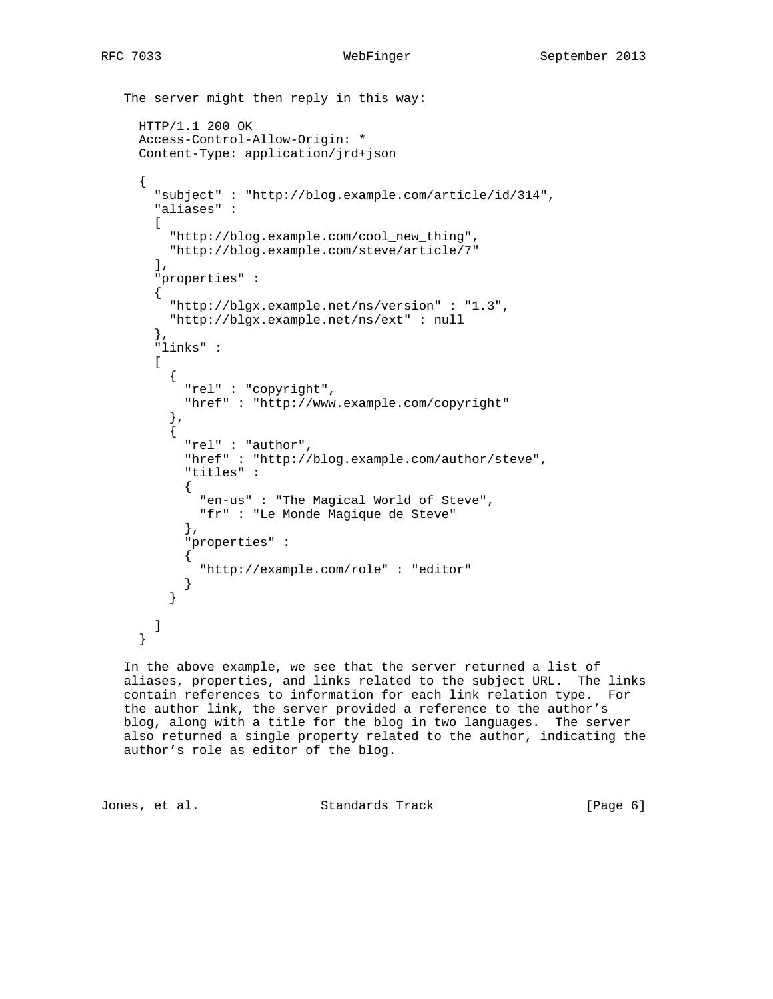```
 The server might then reply in this way:
     HTTP/1.1 200 OK
     Access-Control-Allow-Origin: *
     Content-Type: application/jrd+json
     {
       "subject" : "http://blog.example.com/article/id/314",
       "aliases" :
       [
         "http://blog.example.com/cool_new_thing",
         "http://blog.example.com/steve/article/7"
       ],
       "properties" :
       {
         "http://blgx.example.net/ns/version" : "1.3",
         "http://blgx.example.net/ns/ext" : null
       },
       "links" :
       [
\{ "rel" : "copyright",
           "href" : "http://www.example.com/copyright"
         },
\{ "rel" : "author",
           "href" : "http://blog.example.com/author/steve",
           "titles" :
\{ "en-us" : "The Magical World of Steve",
             "fr" : "Le Monde Magique de Steve"
           },
           "properties" :
\{ "http://example.com/role" : "editor"
 }
 }
       ]
     }
```
 In the above example, we see that the server returned a list of aliases, properties, and links related to the subject URL. The links contain references to information for each link relation type. For the author link, the server provided a reference to the author's blog, along with a title for the blog in two languages. The server also returned a single property related to the author, indicating the author's role as editor of the blog.

Jones, et al. Standards Track [Page 6]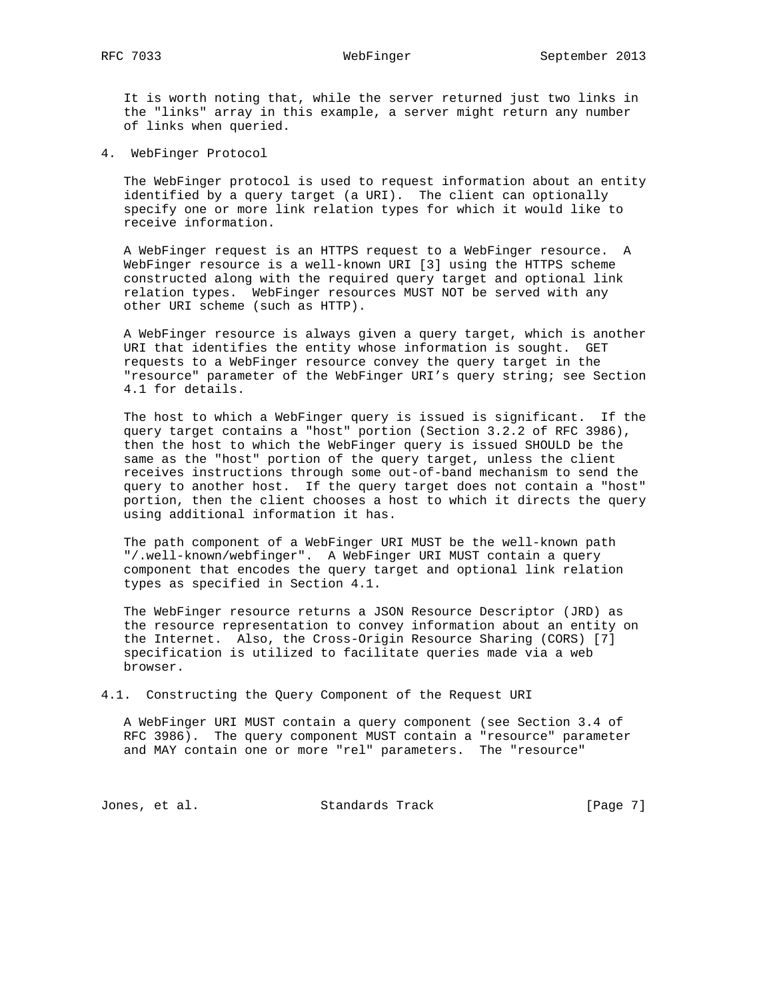It is worth noting that, while the server returned just two links in the "links" array in this example, a server might return any number of links when queried.

4. WebFinger Protocol

 The WebFinger protocol is used to request information about an entity identified by a query target (a URI). The client can optionally specify one or more link relation types for which it would like to receive information.

 A WebFinger request is an HTTPS request to a WebFinger resource. A WebFinger resource is a well-known URI [3] using the HTTPS scheme constructed along with the required query target and optional link relation types. WebFinger resources MUST NOT be served with any other URI scheme (such as HTTP).

 A WebFinger resource is always given a query target, which is another URI that identifies the entity whose information is sought. GET requests to a WebFinger resource convey the query target in the "resource" parameter of the WebFinger URI's query string; see Section 4.1 for details.

 The host to which a WebFinger query is issued is significant. If the query target contains a "host" portion (Section 3.2.2 of RFC 3986), then the host to which the WebFinger query is issued SHOULD be the same as the "host" portion of the query target, unless the client receives instructions through some out-of-band mechanism to send the query to another host. If the query target does not contain a "host" portion, then the client chooses a host to which it directs the query using additional information it has.

 The path component of a WebFinger URI MUST be the well-known path "/.well-known/webfinger". A WebFinger URI MUST contain a query component that encodes the query target and optional link relation types as specified in Section 4.1.

 The WebFinger resource returns a JSON Resource Descriptor (JRD) as the resource representation to convey information about an entity on the Internet. Also, the Cross-Origin Resource Sharing (CORS) [7] specification is utilized to facilitate queries made via a web browser.

4.1. Constructing the Query Component of the Request URI

 A WebFinger URI MUST contain a query component (see Section 3.4 of RFC 3986). The query component MUST contain a "resource" parameter and MAY contain one or more "rel" parameters. The "resource"

Jones, et al. Standards Track [Page 7]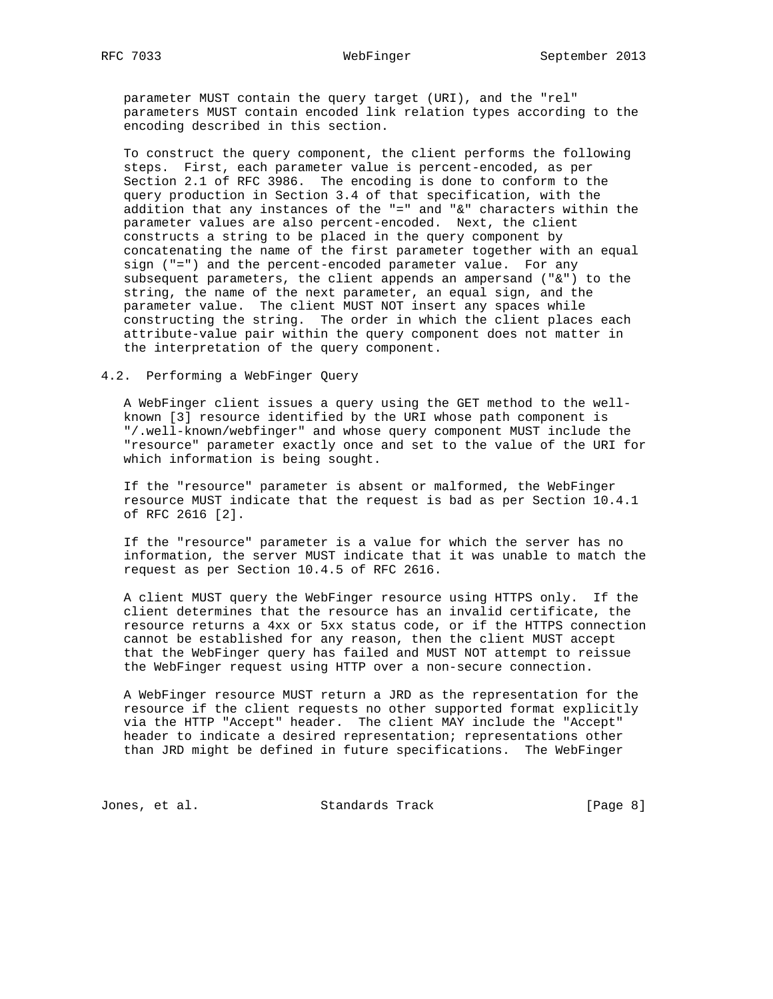parameter MUST contain the query target (URI), and the "rel" parameters MUST contain encoded link relation types according to the encoding described in this section.

 To construct the query component, the client performs the following steps. First, each parameter value is percent-encoded, as per Section 2.1 of RFC 3986. The encoding is done to conform to the query production in Section 3.4 of that specification, with the addition that any instances of the "=" and "&" characters within the parameter values are also percent-encoded. Next, the client constructs a string to be placed in the query component by concatenating the name of the first parameter together with an equal sign ("=") and the percent-encoded parameter value. For any subsequent parameters, the client appends an ampersand ("&") to the string, the name of the next parameter, an equal sign, and the parameter value. The client MUST NOT insert any spaces while constructing the string. The order in which the client places each attribute-value pair within the query component does not matter in the interpretation of the query component.

### 4.2. Performing a WebFinger Query

 A WebFinger client issues a query using the GET method to the well known [3] resource identified by the URI whose path component is "/.well-known/webfinger" and whose query component MUST include the "resource" parameter exactly once and set to the value of the URI for which information is being sought.

 If the "resource" parameter is absent or malformed, the WebFinger resource MUST indicate that the request is bad as per Section 10.4.1 of RFC 2616 [2].

 If the "resource" parameter is a value for which the server has no information, the server MUST indicate that it was unable to match the request as per Section 10.4.5 of RFC 2616.

 A client MUST query the WebFinger resource using HTTPS only. If the client determines that the resource has an invalid certificate, the resource returns a 4xx or 5xx status code, or if the HTTPS connection cannot be established for any reason, then the client MUST accept that the WebFinger query has failed and MUST NOT attempt to reissue the WebFinger request using HTTP over a non-secure connection.

 A WebFinger resource MUST return a JRD as the representation for the resource if the client requests no other supported format explicitly via the HTTP "Accept" header. The client MAY include the "Accept" header to indicate a desired representation; representations other than JRD might be defined in future specifications. The WebFinger

Jones, et al. Standards Track [Page 8]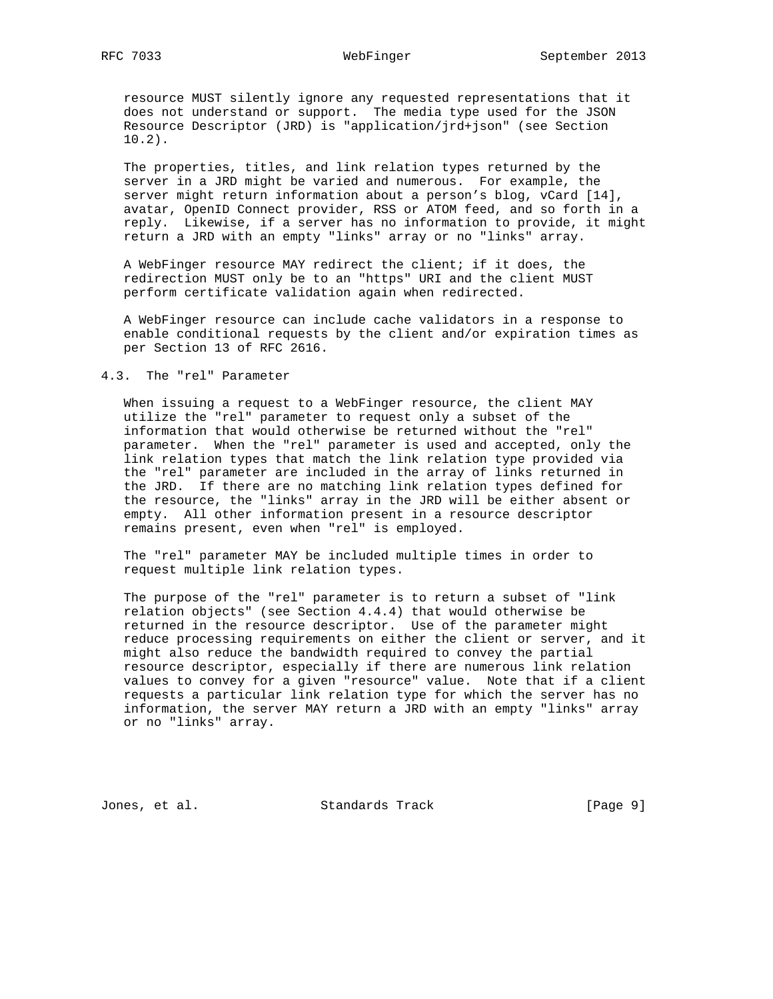resource MUST silently ignore any requested representations that it does not understand or support. The media type used for the JSON Resource Descriptor (JRD) is "application/jrd+json" (see Section 10.2).

 The properties, titles, and link relation types returned by the server in a JRD might be varied and numerous. For example, the server might return information about a person's blog, vCard [14], avatar, OpenID Connect provider, RSS or ATOM feed, and so forth in a reply. Likewise, if a server has no information to provide, it might return a JRD with an empty "links" array or no "links" array.

 A WebFinger resource MAY redirect the client; if it does, the redirection MUST only be to an "https" URI and the client MUST perform certificate validation again when redirected.

 A WebFinger resource can include cache validators in a response to enable conditional requests by the client and/or expiration times as per Section 13 of RFC 2616.

# 4.3. The "rel" Parameter

 When issuing a request to a WebFinger resource, the client MAY utilize the "rel" parameter to request only a subset of the information that would otherwise be returned without the "rel" parameter. When the "rel" parameter is used and accepted, only the link relation types that match the link relation type provided via the "rel" parameter are included in the array of links returned in the JRD. If there are no matching link relation types defined for the resource, the "links" array in the JRD will be either absent or empty. All other information present in a resource descriptor remains present, even when "rel" is employed.

 The "rel" parameter MAY be included multiple times in order to request multiple link relation types.

 The purpose of the "rel" parameter is to return a subset of "link relation objects" (see Section 4.4.4) that would otherwise be returned in the resource descriptor. Use of the parameter might reduce processing requirements on either the client or server, and it might also reduce the bandwidth required to convey the partial resource descriptor, especially if there are numerous link relation values to convey for a given "resource" value. Note that if a client requests a particular link relation type for which the server has no information, the server MAY return a JRD with an empty "links" array or no "links" array.

Jones, et al. Standards Track [Page 9]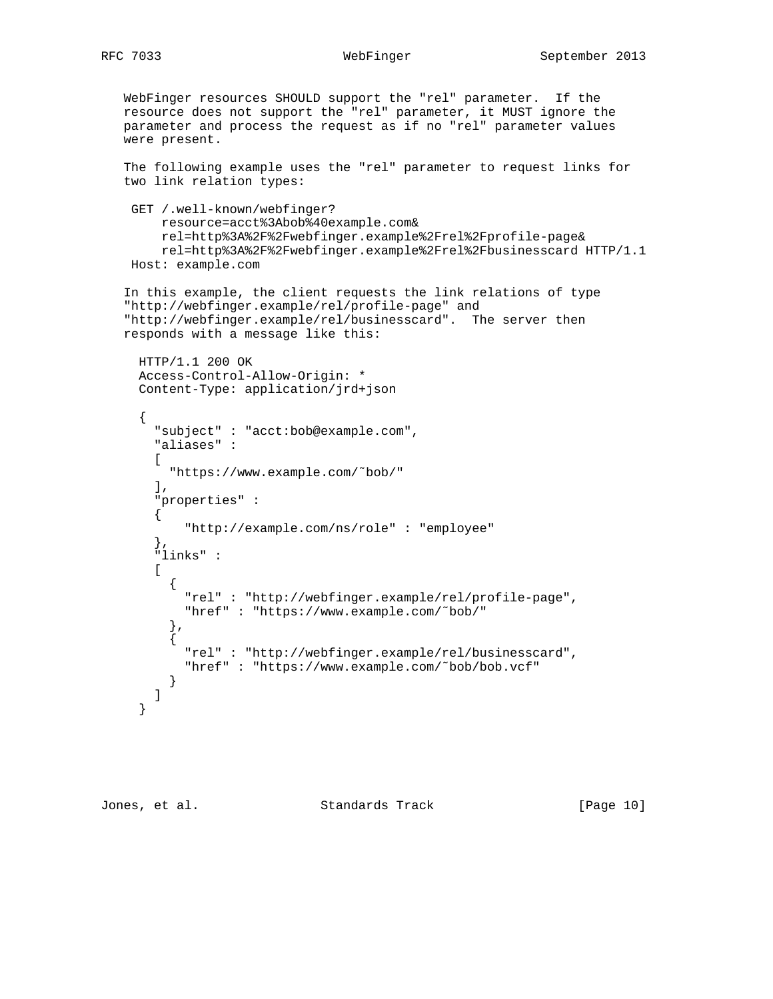WebFinger resources SHOULD support the "rel" parameter. If the resource does not support the "rel" parameter, it MUST ignore the parameter and process the request as if no "rel" parameter values were present.

 The following example uses the "rel" parameter to request links for two link relation types:

```
 GET /.well-known/webfinger?
     resource=acct%3Abob%40example.com&
     rel=http%3A%2F%2Fwebfinger.example%2Frel%2Fprofile-page&
     rel=http%3A%2F%2Fwebfinger.example%2Frel%2Fbusinesscard HTTP/1.1
 Host: example.com
```

```
 In this example, the client requests the link relations of type
 "http://webfinger.example/rel/profile-page" and
 "http://webfinger.example/rel/businesscard". The server then
 responds with a message like this:
```

```
 HTTP/1.1 200 OK
     Access-Control-Allow-Origin: *
      Content-Type: application/jrd+json
      {
        "subject" : "acct:bob@example.com",
        "aliases" :
       \Gamma "https://www.example.com/˜bob/"
       \,, \, "properties" :
        {
            "http://example.com/ns/role" : "employee"
        },
        "links" :
        [
          {
            "rel" : "http://webfinger.example/rel/profile-page",
            "href" : "https://www.example.com/˜bob/"
          },
\{ "rel" : "http://webfinger.example/rel/businesscard",
            "href" : "https://www.example.com/˜bob/bob.vcf"
          }
        ]
      }
```
Jones, et al. Standards Track [Page 10]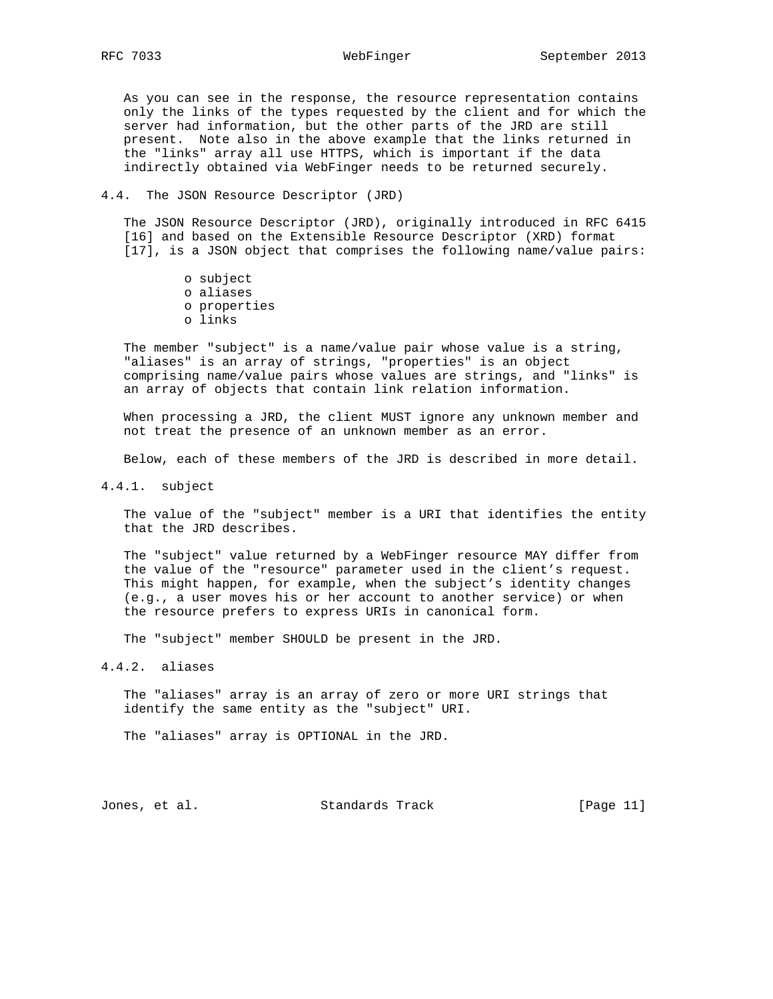# RFC 7033 WebFinger September 2013

 As you can see in the response, the resource representation contains only the links of the types requested by the client and for which the server had information, but the other parts of the JRD are still present. Note also in the above example that the links returned in the "links" array all use HTTPS, which is important if the data indirectly obtained via WebFinger needs to be returned securely.

### 4.4. The JSON Resource Descriptor (JRD)

 The JSON Resource Descriptor (JRD), originally introduced in RFC 6415 [16] and based on the Extensible Resource Descriptor (XRD) format [17], is a JSON object that comprises the following name/value pairs:

> o subject o aliases o properties o links

 The member "subject" is a name/value pair whose value is a string, "aliases" is an array of strings, "properties" is an object comprising name/value pairs whose values are strings, and "links" is an array of objects that contain link relation information.

 When processing a JRD, the client MUST ignore any unknown member and not treat the presence of an unknown member as an error.

Below, each of these members of the JRD is described in more detail.

4.4.1. subject

 The value of the "subject" member is a URI that identifies the entity that the JRD describes.

 The "subject" value returned by a WebFinger resource MAY differ from the value of the "resource" parameter used in the client's request. This might happen, for example, when the subject's identity changes (e.g., a user moves his or her account to another service) or when the resource prefers to express URIs in canonical form.

The "subject" member SHOULD be present in the JRD.

4.4.2. aliases

 The "aliases" array is an array of zero or more URI strings that identify the same entity as the "subject" URI.

The "aliases" array is OPTIONAL in the JRD.

Jones, et al. Standards Track [Page 11]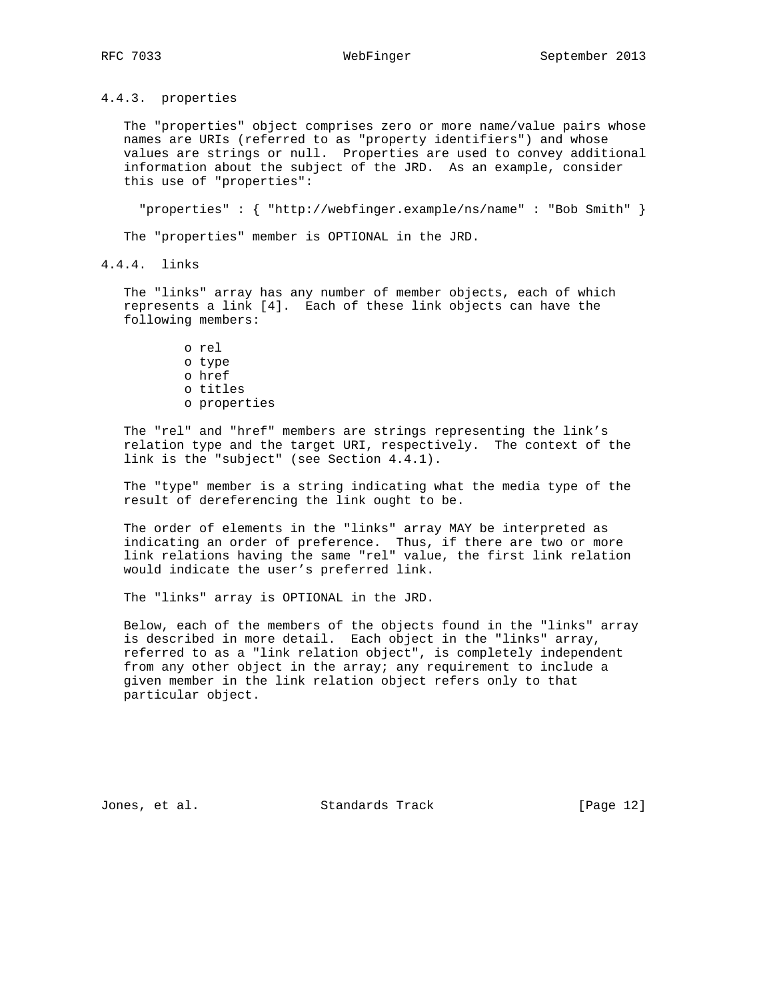4.4.3. properties

 The "properties" object comprises zero or more name/value pairs whose names are URIs (referred to as "property identifiers") and whose values are strings or null. Properties are used to convey additional information about the subject of the JRD. As an example, consider this use of "properties":

"properties" : { "http://webfinger.example/ns/name" : "Bob Smith" }

The "properties" member is OPTIONAL in the JRD.

4.4.4. links

 The "links" array has any number of member objects, each of which represents a link [4]. Each of these link objects can have the following members:

> o rel o type o href o titles o properties

 The "rel" and "href" members are strings representing the link's relation type and the target URI, respectively. The context of the link is the "subject" (see Section 4.4.1).

 The "type" member is a string indicating what the media type of the result of dereferencing the link ought to be.

 The order of elements in the "links" array MAY be interpreted as indicating an order of preference. Thus, if there are two or more link relations having the same "rel" value, the first link relation would indicate the user's preferred link.

The "links" array is OPTIONAL in the JRD.

 Below, each of the members of the objects found in the "links" array is described in more detail. Each object in the "links" array, referred to as a "link relation object", is completely independent from any other object in the array; any requirement to include a given member in the link relation object refers only to that particular object.

Jones, et al. Standards Track [Page 12]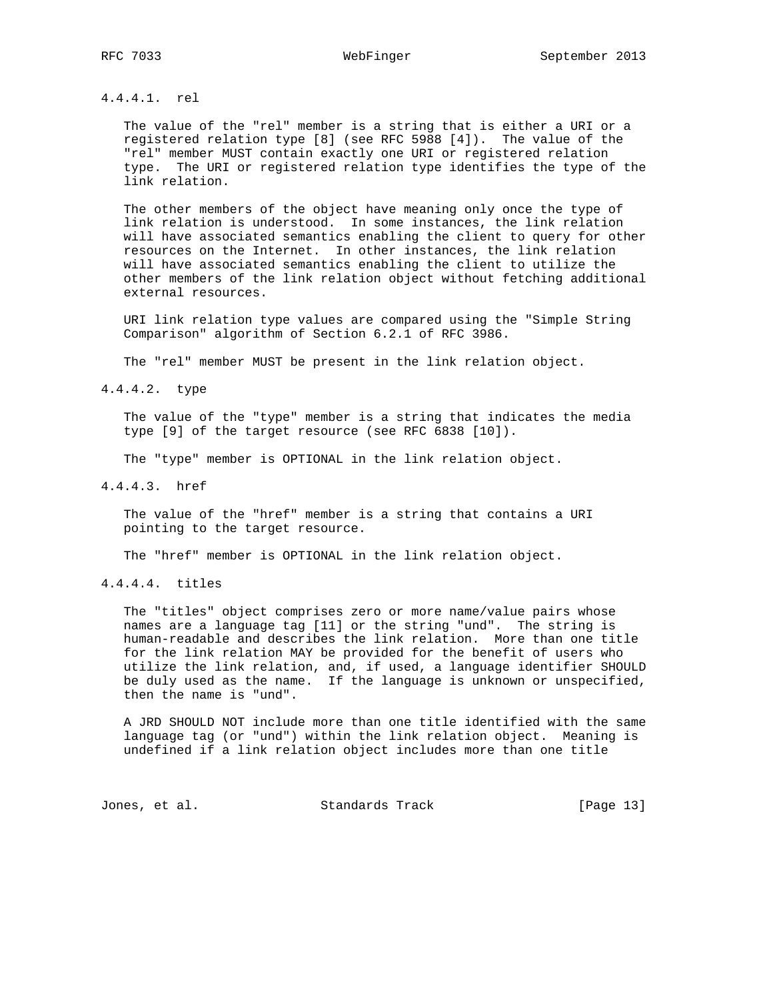# 4.4.4.1. rel

 The value of the "rel" member is a string that is either a URI or a registered relation type [8] (see RFC 5988 [4]). The value of the "rel" member MUST contain exactly one URI or registered relation type. The URI or registered relation type identifies the type of the link relation.

 The other members of the object have meaning only once the type of link relation is understood. In some instances, the link relation will have associated semantics enabling the client to query for other resources on the Internet. In other instances, the link relation will have associated semantics enabling the client to utilize the other members of the link relation object without fetching additional external resources.

 URI link relation type values are compared using the "Simple String Comparison" algorithm of Section 6.2.1 of RFC 3986.

The "rel" member MUST be present in the link relation object.

4.4.4.2. type

 The value of the "type" member is a string that indicates the media type [9] of the target resource (see RFC 6838 [10]).

The "type" member is OPTIONAL in the link relation object.

4.4.4.3. href

 The value of the "href" member is a string that contains a URI pointing to the target resource.

The "href" member is OPTIONAL in the link relation object.

4.4.4.4. titles

 The "titles" object comprises zero or more name/value pairs whose names are a language tag [11] or the string "und". The string is human-readable and describes the link relation. More than one title for the link relation MAY be provided for the benefit of users who utilize the link relation, and, if used, a language identifier SHOULD be duly used as the name. If the language is unknown or unspecified, then the name is "und".

 A JRD SHOULD NOT include more than one title identified with the same language tag (or "und") within the link relation object. Meaning is undefined if a link relation object includes more than one title

Jones, et al. Standards Track [Page 13]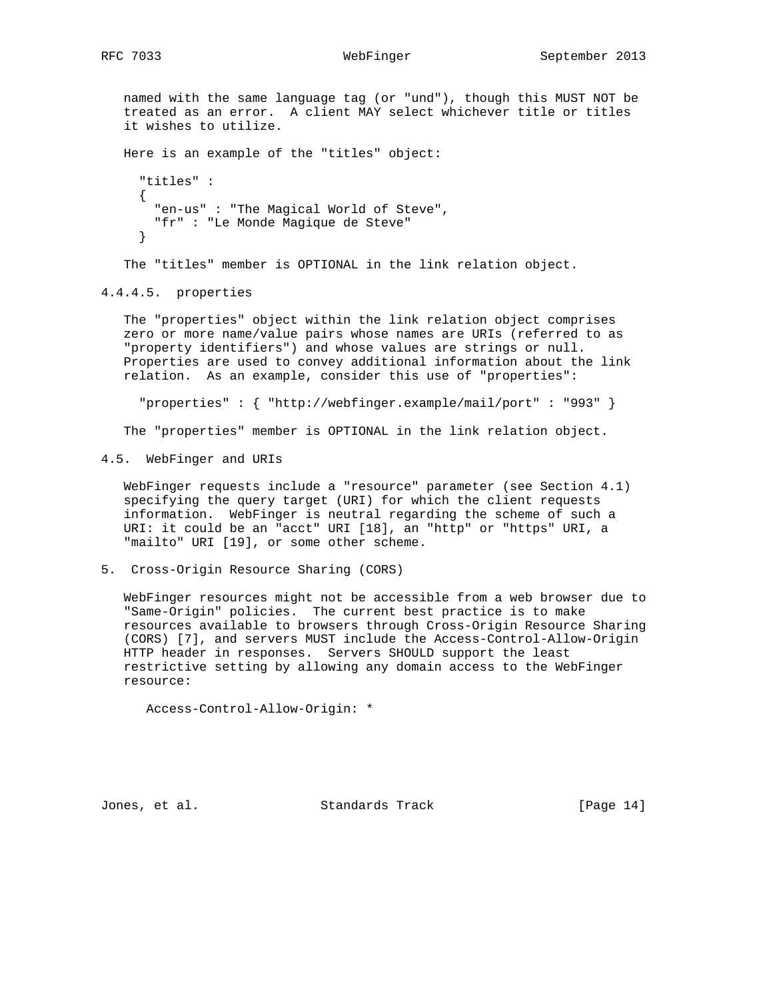named with the same language tag (or "und"), though this MUST NOT be treated as an error. A client MAY select whichever title or titles it wishes to utilize. Here is an example of the "titles" object: "titles" : { "en-us" : "The Magical World of Steve", "fr" : "Le Monde Magique de Steve" }

The "titles" member is OPTIONAL in the link relation object.

4.4.4.5. properties

 The "properties" object within the link relation object comprises zero or more name/value pairs whose names are URIs (referred to as "property identifiers") and whose values are strings or null. Properties are used to convey additional information about the link relation. As an example, consider this use of "properties":

"properties" : { "http://webfinger.example/mail/port" : "993" }

The "properties" member is OPTIONAL in the link relation object.

4.5. WebFinger and URIs

 WebFinger requests include a "resource" parameter (see Section 4.1) specifying the query target (URI) for which the client requests information. WebFinger is neutral regarding the scheme of such a URI: it could be an "acct" URI [18], an "http" or "https" URI, a "mailto" URI [19], or some other scheme.

5. Cross-Origin Resource Sharing (CORS)

 WebFinger resources might not be accessible from a web browser due to "Same-Origin" policies. The current best practice is to make resources available to browsers through Cross-Origin Resource Sharing (CORS) [7], and servers MUST include the Access-Control-Allow-Origin HTTP header in responses. Servers SHOULD support the least restrictive setting by allowing any domain access to the WebFinger resource:

Access-Control-Allow-Origin: \*

Jones, et al. Standards Track [Page 14]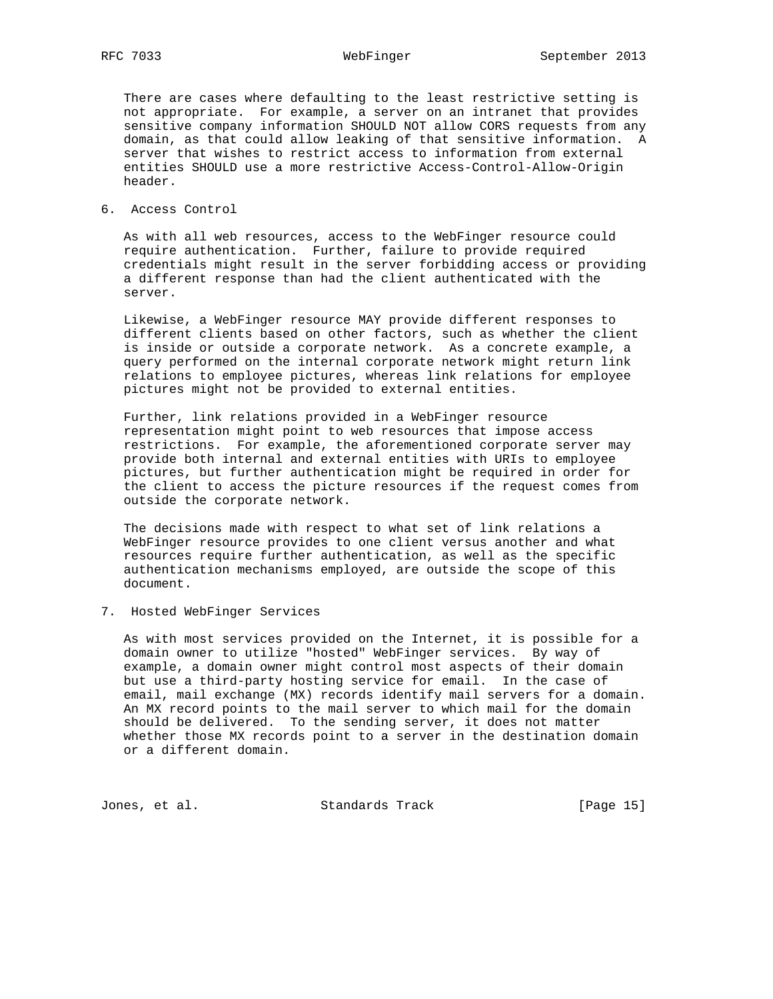There are cases where defaulting to the least restrictive setting is not appropriate. For example, a server on an intranet that provides sensitive company information SHOULD NOT allow CORS requests from any domain, as that could allow leaking of that sensitive information. A server that wishes to restrict access to information from external entities SHOULD use a more restrictive Access-Control-Allow-Origin header.

# 6. Access Control

 As with all web resources, access to the WebFinger resource could require authentication. Further, failure to provide required credentials might result in the server forbidding access or providing a different response than had the client authenticated with the server.

 Likewise, a WebFinger resource MAY provide different responses to different clients based on other factors, such as whether the client is inside or outside a corporate network. As a concrete example, a query performed on the internal corporate network might return link relations to employee pictures, whereas link relations for employee pictures might not be provided to external entities.

 Further, link relations provided in a WebFinger resource representation might point to web resources that impose access restrictions. For example, the aforementioned corporate server may provide both internal and external entities with URIs to employee pictures, but further authentication might be required in order for the client to access the picture resources if the request comes from outside the corporate network.

 The decisions made with respect to what set of link relations a WebFinger resource provides to one client versus another and what resources require further authentication, as well as the specific authentication mechanisms employed, are outside the scope of this document.

7. Hosted WebFinger Services

 As with most services provided on the Internet, it is possible for a domain owner to utilize "hosted" WebFinger services. By way of example, a domain owner might control most aspects of their domain but use a third-party hosting service for email. In the case of email, mail exchange (MX) records identify mail servers for a domain. An MX record points to the mail server to which mail for the domain should be delivered. To the sending server, it does not matter whether those MX records point to a server in the destination domain or a different domain.

Jones, et al. Standards Track [Page 15]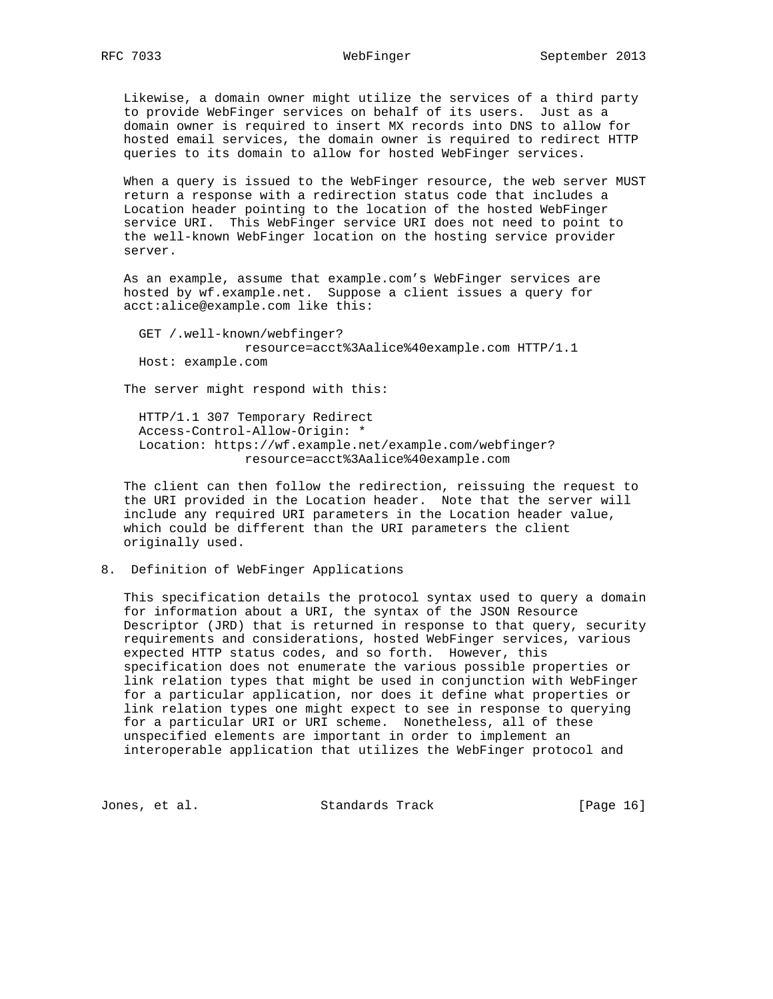Likewise, a domain owner might utilize the services of a third party to provide WebFinger services on behalf of its users. Just as a domain owner is required to insert MX records into DNS to allow for hosted email services, the domain owner is required to redirect HTTP queries to its domain to allow for hosted WebFinger services.

 When a query is issued to the WebFinger resource, the web server MUST return a response with a redirection status code that includes a Location header pointing to the location of the hosted WebFinger service URI. This WebFinger service URI does not need to point to the well-known WebFinger location on the hosting service provider server.

 As an example, assume that example.com's WebFinger services are hosted by wf.example.net. Suppose a client issues a query for acct:alice@example.com like this:

 GET /.well-known/webfinger? resource=acct%3Aalice%40example.com HTTP/1.1 Host: example.com

The server might respond with this:

 HTTP/1.1 307 Temporary Redirect Access-Control-Allow-Origin: \* Location: https://wf.example.net/example.com/webfinger? resource=acct%3Aalice%40example.com

 The client can then follow the redirection, reissuing the request to the URI provided in the Location header. Note that the server will include any required URI parameters in the Location header value, which could be different than the URI parameters the client originally used.

8. Definition of WebFinger Applications

 This specification details the protocol syntax used to query a domain for information about a URI, the syntax of the JSON Resource Descriptor (JRD) that is returned in response to that query, security requirements and considerations, hosted WebFinger services, various expected HTTP status codes, and so forth. However, this specification does not enumerate the various possible properties or link relation types that might be used in conjunction with WebFinger for a particular application, nor does it define what properties or link relation types one might expect to see in response to querying for a particular URI or URI scheme. Nonetheless, all of these unspecified elements are important in order to implement an interoperable application that utilizes the WebFinger protocol and

Jones, et al. Standards Track [Page 16]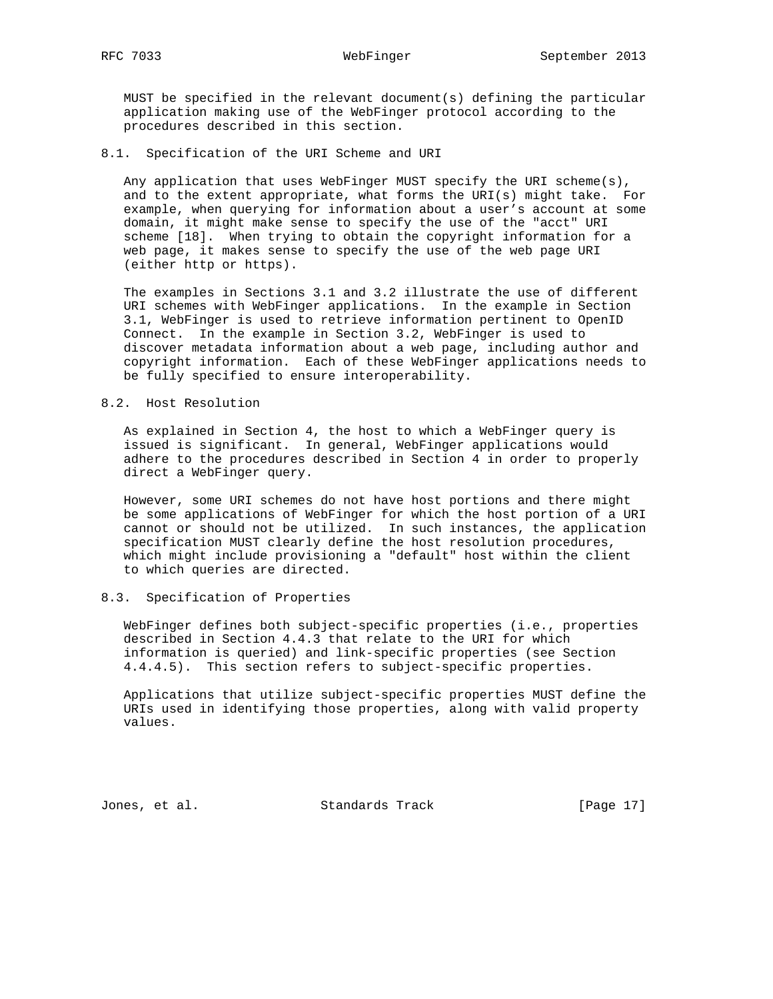MUST be specified in the relevant document(s) defining the particular application making use of the WebFinger protocol according to the procedures described in this section.

### 8.1. Specification of the URI Scheme and URI

 Any application that uses WebFinger MUST specify the URI scheme(s), and to the extent appropriate, what forms the URI(s) might take. For example, when querying for information about a user's account at some domain, it might make sense to specify the use of the "acct" URI scheme [18]. When trying to obtain the copyright information for a web page, it makes sense to specify the use of the web page URI (either http or https).

 The examples in Sections 3.1 and 3.2 illustrate the use of different URI schemes with WebFinger applications. In the example in Section 3.1, WebFinger is used to retrieve information pertinent to OpenID Connect. In the example in Section 3.2, WebFinger is used to discover metadata information about a web page, including author and copyright information. Each of these WebFinger applications needs to be fully specified to ensure interoperability.

### 8.2. Host Resolution

 As explained in Section 4, the host to which a WebFinger query is issued is significant. In general, WebFinger applications would adhere to the procedures described in Section 4 in order to properly direct a WebFinger query.

 However, some URI schemes do not have host portions and there might be some applications of WebFinger for which the host portion of a URI cannot or should not be utilized. In such instances, the application specification MUST clearly define the host resolution procedures, which might include provisioning a "default" host within the client to which queries are directed.

# 8.3. Specification of Properties

 WebFinger defines both subject-specific properties (i.e., properties described in Section 4.4.3 that relate to the URI for which information is queried) and link-specific properties (see Section 4.4.4.5). This section refers to subject-specific properties.

 Applications that utilize subject-specific properties MUST define the URIs used in identifying those properties, along with valid property values.

Jones, et al. Standards Track [Page 17]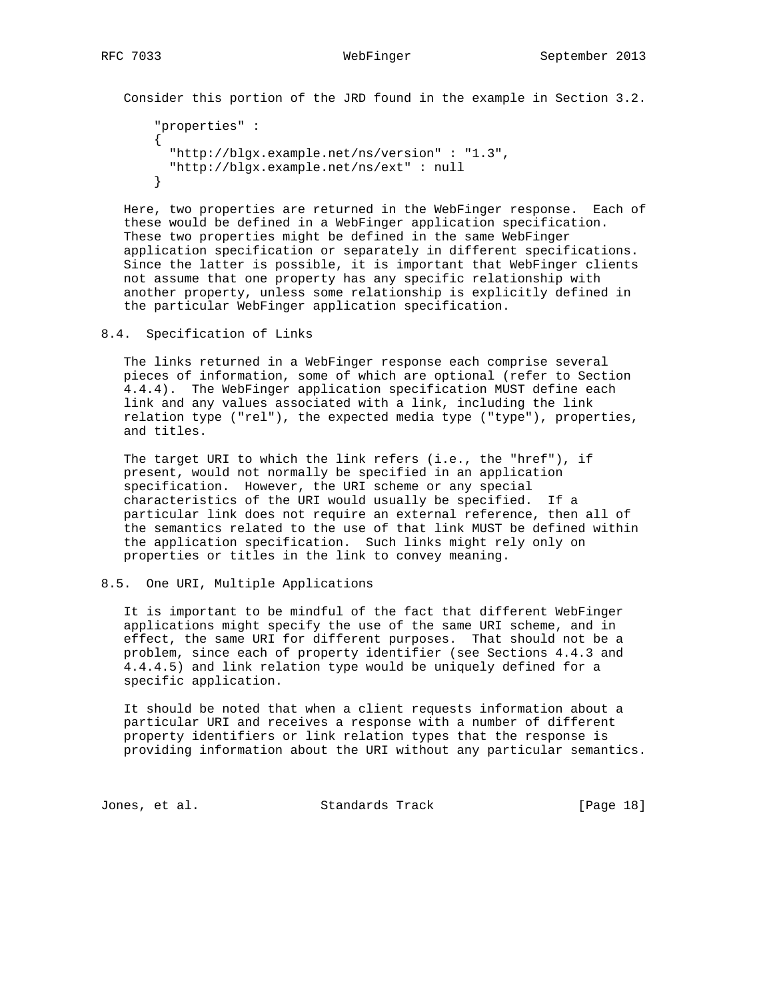Consider this portion of the JRD found in the example in Section 3.2.

```
 "properties" :
 {
   "http://blgx.example.net/ns/version" : "1.3",
  "http://blgx.example.net/ns/ext" : null
 }
```
 Here, two properties are returned in the WebFinger response. Each of these would be defined in a WebFinger application specification. These two properties might be defined in the same WebFinger application specification or separately in different specifications. Since the latter is possible, it is important that WebFinger clients not assume that one property has any specific relationship with another property, unless some relationship is explicitly defined in the particular WebFinger application specification.

8.4. Specification of Links

 The links returned in a WebFinger response each comprise several pieces of information, some of which are optional (refer to Section 4.4.4). The WebFinger application specification MUST define each link and any values associated with a link, including the link relation type ("rel"), the expected media type ("type"), properties, and titles.

 The target URI to which the link refers (i.e., the "href"), if present, would not normally be specified in an application specification. However, the URI scheme or any special characteristics of the URI would usually be specified. If a particular link does not require an external reference, then all of the semantics related to the use of that link MUST be defined within the application specification. Such links might rely only on properties or titles in the link to convey meaning.

# 8.5. One URI, Multiple Applications

 It is important to be mindful of the fact that different WebFinger applications might specify the use of the same URI scheme, and in effect, the same URI for different purposes. That should not be a problem, since each of property identifier (see Sections 4.4.3 and 4.4.4.5) and link relation type would be uniquely defined for a specific application.

 It should be noted that when a client requests information about a particular URI and receives a response with a number of different property identifiers or link relation types that the response is providing information about the URI without any particular semantics.

Jones, et al. Standards Track [Page 18]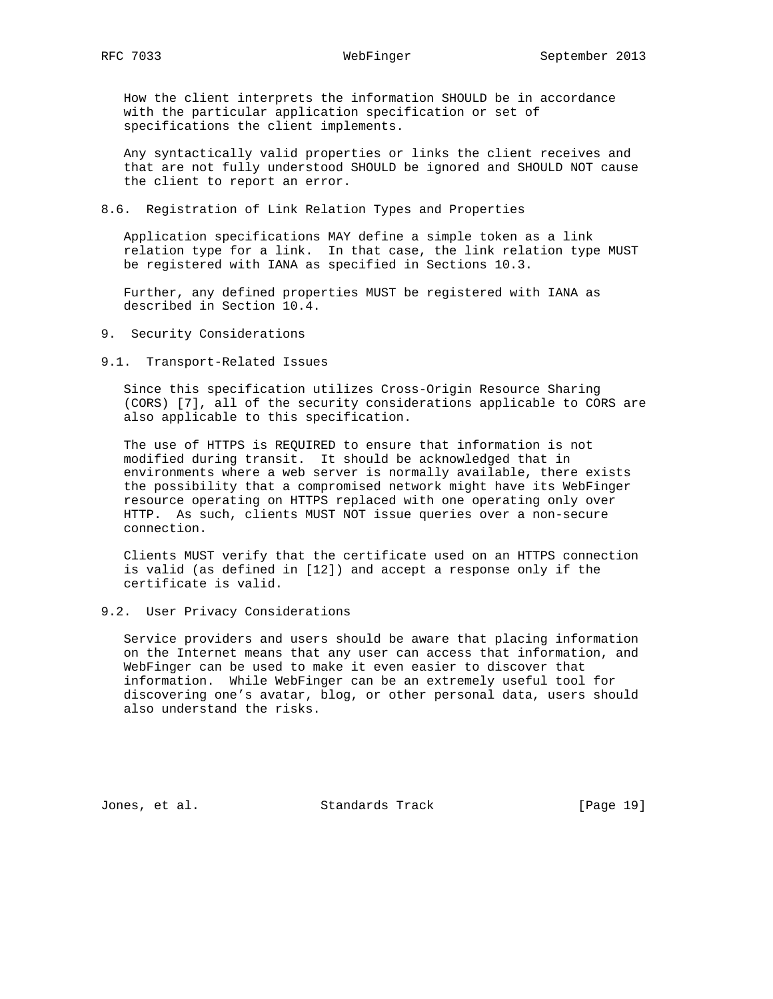# How the client interprets the information SHOULD be in accordance

 with the particular application specification or set of specifications the client implements.

 Any syntactically valid properties or links the client receives and that are not fully understood SHOULD be ignored and SHOULD NOT cause the client to report an error.

### 8.6. Registration of Link Relation Types and Properties

 Application specifications MAY define a simple token as a link relation type for a link. In that case, the link relation type MUST be registered with IANA as specified in Sections 10.3.

 Further, any defined properties MUST be registered with IANA as described in Section 10.4.

- 9. Security Considerations
- 9.1. Transport-Related Issues

 Since this specification utilizes Cross-Origin Resource Sharing (CORS) [7], all of the security considerations applicable to CORS are also applicable to this specification.

 The use of HTTPS is REQUIRED to ensure that information is not modified during transit. It should be acknowledged that in environments where a web server is normally available, there exists the possibility that a compromised network might have its WebFinger resource operating on HTTPS replaced with one operating only over HTTP. As such, clients MUST NOT issue queries over a non-secure connection.

 Clients MUST verify that the certificate used on an HTTPS connection is valid (as defined in [12]) and accept a response only if the certificate is valid.

# 9.2. User Privacy Considerations

 Service providers and users should be aware that placing information on the Internet means that any user can access that information, and WebFinger can be used to make it even easier to discover that information. While WebFinger can be an extremely useful tool for discovering one's avatar, blog, or other personal data, users should also understand the risks.

Jones, et al. Standards Track [Page 19]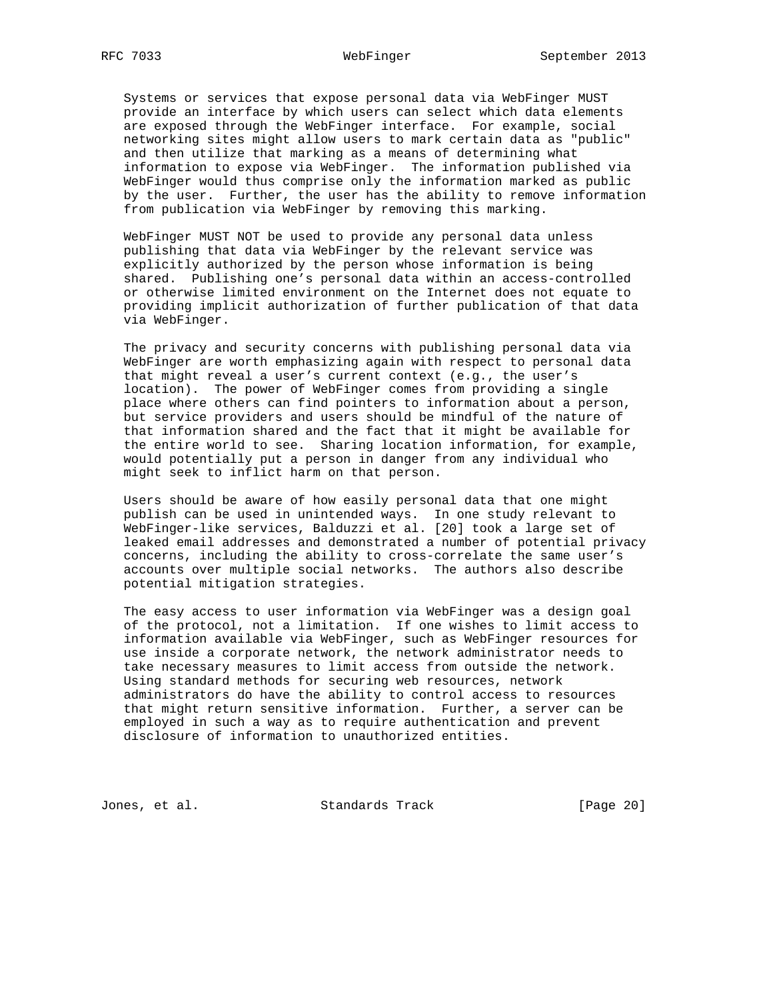Systems or services that expose personal data via WebFinger MUST provide an interface by which users can select which data elements are exposed through the WebFinger interface. For example, social networking sites might allow users to mark certain data as "public" and then utilize that marking as a means of determining what information to expose via WebFinger. The information published via WebFinger would thus comprise only the information marked as public by the user. Further, the user has the ability to remove information from publication via WebFinger by removing this marking.

 WebFinger MUST NOT be used to provide any personal data unless publishing that data via WebFinger by the relevant service was explicitly authorized by the person whose information is being shared. Publishing one's personal data within an access-controlled or otherwise limited environment on the Internet does not equate to providing implicit authorization of further publication of that data via WebFinger.

 The privacy and security concerns with publishing personal data via WebFinger are worth emphasizing again with respect to personal data that might reveal a user's current context (e.g., the user's location). The power of WebFinger comes from providing a single place where others can find pointers to information about a person, but service providers and users should be mindful of the nature of that information shared and the fact that it might be available for the entire world to see. Sharing location information, for example, would potentially put a person in danger from any individual who might seek to inflict harm on that person.

 Users should be aware of how easily personal data that one might publish can be used in unintended ways. In one study relevant to WebFinger-like services, Balduzzi et al. [20] took a large set of leaked email addresses and demonstrated a number of potential privacy concerns, including the ability to cross-correlate the same user's accounts over multiple social networks. The authors also describe potential mitigation strategies.

 The easy access to user information via WebFinger was a design goal of the protocol, not a limitation. If one wishes to limit access to information available via WebFinger, such as WebFinger resources for use inside a corporate network, the network administrator needs to take necessary measures to limit access from outside the network. Using standard methods for securing web resources, network administrators do have the ability to control access to resources that might return sensitive information. Further, a server can be employed in such a way as to require authentication and prevent disclosure of information to unauthorized entities.

Jones, et al. Standards Track [Page 20]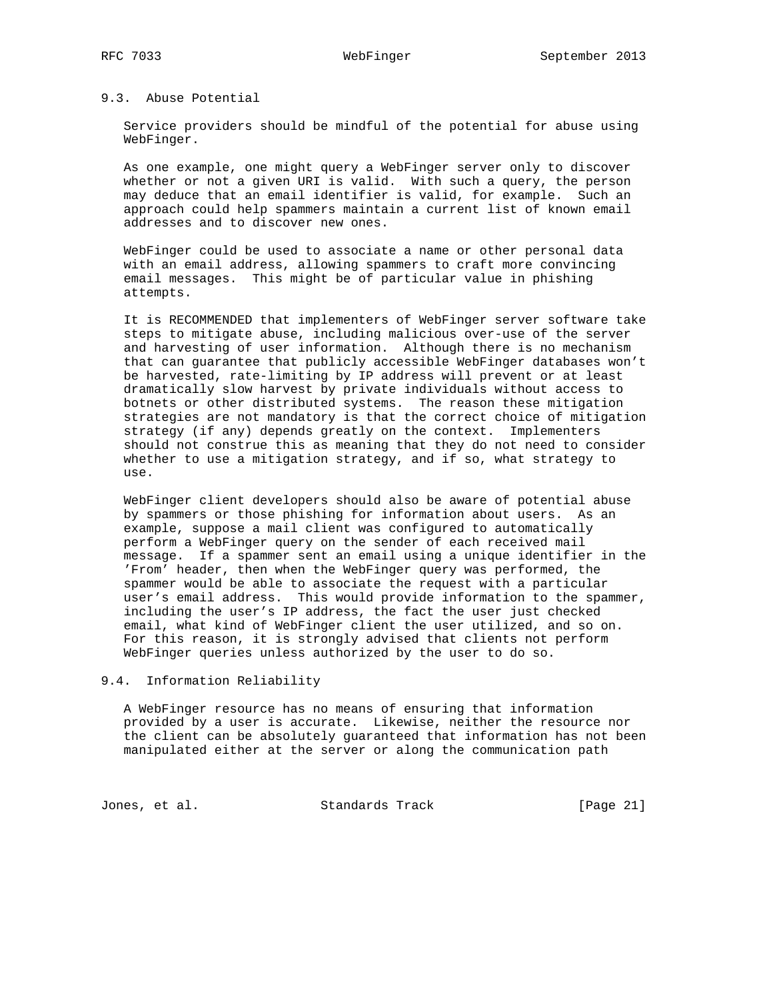# 9.3. Abuse Potential

 Service providers should be mindful of the potential for abuse using WebFinger.

 As one example, one might query a WebFinger server only to discover whether or not a given URI is valid. With such a query, the person may deduce that an email identifier is valid, for example. Such an approach could help spammers maintain a current list of known email addresses and to discover new ones.

 WebFinger could be used to associate a name or other personal data with an email address, allowing spammers to craft more convincing email messages. This might be of particular value in phishing attempts.

 It is RECOMMENDED that implementers of WebFinger server software take steps to mitigate abuse, including malicious over-use of the server and harvesting of user information. Although there is no mechanism that can guarantee that publicly accessible WebFinger databases won't be harvested, rate-limiting by IP address will prevent or at least dramatically slow harvest by private individuals without access to botnets or other distributed systems. The reason these mitigation strategies are not mandatory is that the correct choice of mitigation strategy (if any) depends greatly on the context. Implementers should not construe this as meaning that they do not need to consider whether to use a mitigation strategy, and if so, what strategy to use.

 WebFinger client developers should also be aware of potential abuse by spammers or those phishing for information about users. As an example, suppose a mail client was configured to automatically perform a WebFinger query on the sender of each received mail message. If a spammer sent an email using a unique identifier in the 'From' header, then when the WebFinger query was performed, the spammer would be able to associate the request with a particular user's email address. This would provide information to the spammer, including the user's IP address, the fact the user just checked email, what kind of WebFinger client the user utilized, and so on. For this reason, it is strongly advised that clients not perform WebFinger queries unless authorized by the user to do so.

# 9.4. Information Reliability

 A WebFinger resource has no means of ensuring that information provided by a user is accurate. Likewise, neither the resource nor the client can be absolutely guaranteed that information has not been manipulated either at the server or along the communication path

Jones, et al. Standards Track [Page 21]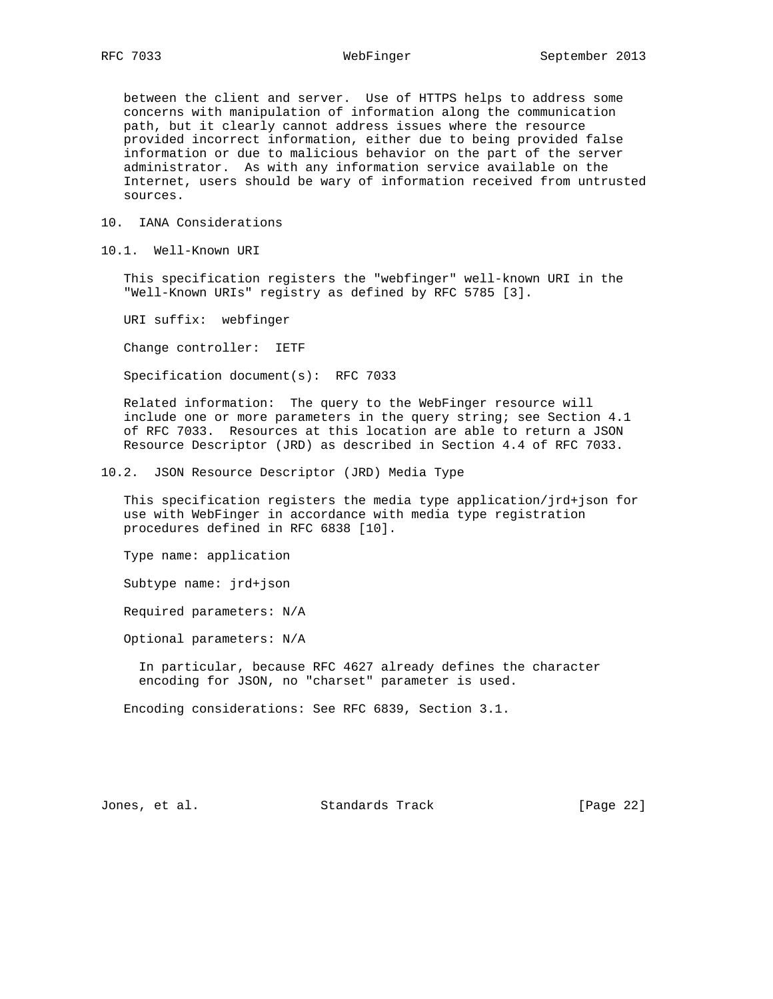between the client and server. Use of HTTPS helps to address some concerns with manipulation of information along the communication path, but it clearly cannot address issues where the resource provided incorrect information, either due to being provided false information or due to malicious behavior on the part of the server administrator. As with any information service available on the Internet, users should be wary of information received from untrusted sources.

10. IANA Considerations

10.1. Well-Known URI

 This specification registers the "webfinger" well-known URI in the "Well-Known URIs" registry as defined by RFC 5785 [3].

URI suffix: webfinger

Change controller: IETF

Specification document(s): RFC 7033

 Related information: The query to the WebFinger resource will include one or more parameters in the query string; see Section 4.1 of RFC 7033. Resources at this location are able to return a JSON Resource Descriptor (JRD) as described in Section 4.4 of RFC 7033.

10.2. JSON Resource Descriptor (JRD) Media Type

 This specification registers the media type application/jrd+json for use with WebFinger in accordance with media type registration procedures defined in RFC 6838 [10].

Type name: application

Subtype name: jrd+json

Required parameters: N/A

Optional parameters: N/A

 In particular, because RFC 4627 already defines the character encoding for JSON, no "charset" parameter is used.

Encoding considerations: See RFC 6839, Section 3.1.

Jones, et al. Standards Track [Page 22]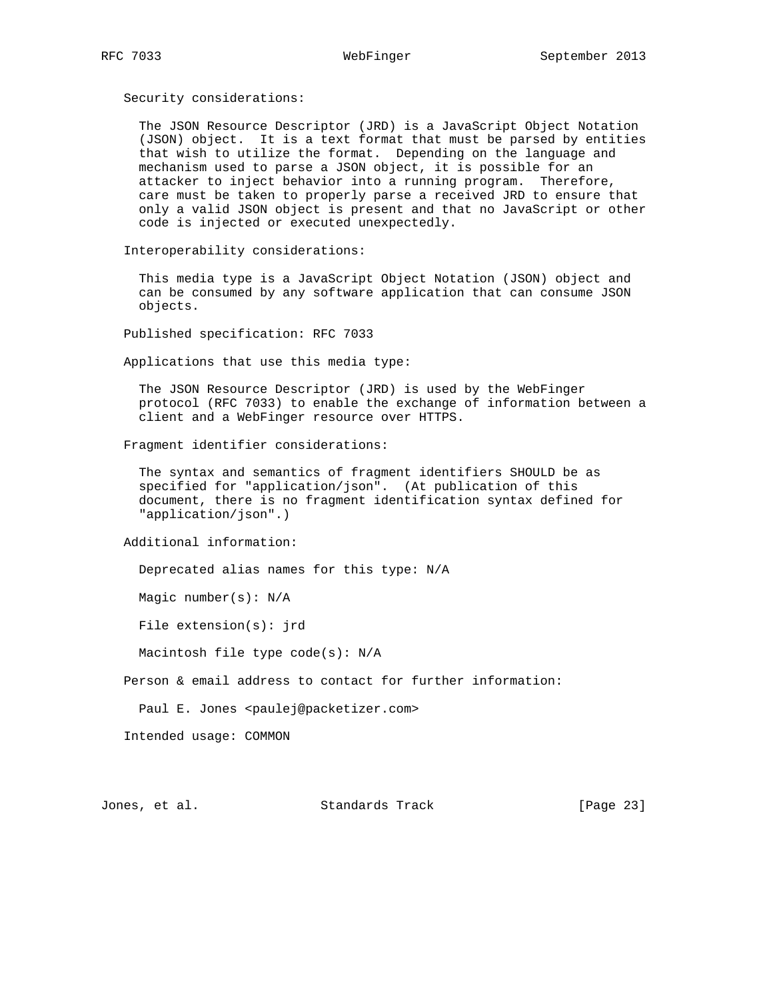Security considerations:

 The JSON Resource Descriptor (JRD) is a JavaScript Object Notation (JSON) object. It is a text format that must be parsed by entities that wish to utilize the format. Depending on the language and mechanism used to parse a JSON object, it is possible for an attacker to inject behavior into a running program. Therefore, care must be taken to properly parse a received JRD to ensure that only a valid JSON object is present and that no JavaScript or other code is injected or executed unexpectedly.

Interoperability considerations:

 This media type is a JavaScript Object Notation (JSON) object and can be consumed by any software application that can consume JSON objects.

Published specification: RFC 7033

Applications that use this media type:

 The JSON Resource Descriptor (JRD) is used by the WebFinger protocol (RFC 7033) to enable the exchange of information between a client and a WebFinger resource over HTTPS.

Fragment identifier considerations:

 The syntax and semantics of fragment identifiers SHOULD be as specified for "application/json". (At publication of this document, there is no fragment identification syntax defined for "application/json".)

Additional information:

Deprecated alias names for this type: N/A

Magic number(s): N/A

File extension(s): jrd

Macintosh file type code(s): N/A

Person & email address to contact for further information:

Paul E. Jones <paulej@packetizer.com>

Intended usage: COMMON

Jones, et al. Standards Track [Page 23]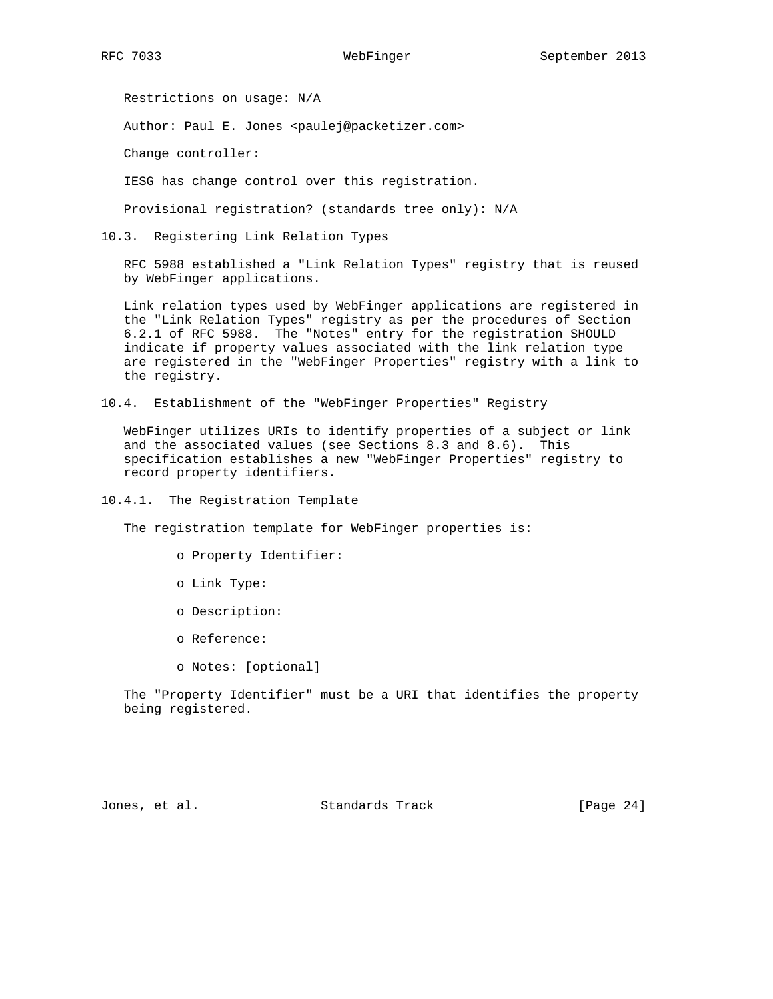Restrictions on usage: N/A

Author: Paul E. Jones <paulej@packetizer.com>

Change controller:

IESG has change control over this registration.

Provisional registration? (standards tree only): N/A

10.3. Registering Link Relation Types

 RFC 5988 established a "Link Relation Types" registry that is reused by WebFinger applications.

 Link relation types used by WebFinger applications are registered in the "Link Relation Types" registry as per the procedures of Section 6.2.1 of RFC 5988. The "Notes" entry for the registration SHOULD indicate if property values associated with the link relation type are registered in the "WebFinger Properties" registry with a link to the registry.

10.4. Establishment of the "WebFinger Properties" Registry

 WebFinger utilizes URIs to identify properties of a subject or link and the associated values (see Sections 8.3 and 8.6). This specification establishes a new "WebFinger Properties" registry to record property identifiers.

10.4.1. The Registration Template

The registration template for WebFinger properties is:

- o Property Identifier:
- o Link Type:
- o Description:
- o Reference:
- o Notes: [optional]

 The "Property Identifier" must be a URI that identifies the property being registered.

Jones, et al. Standards Track [Page 24]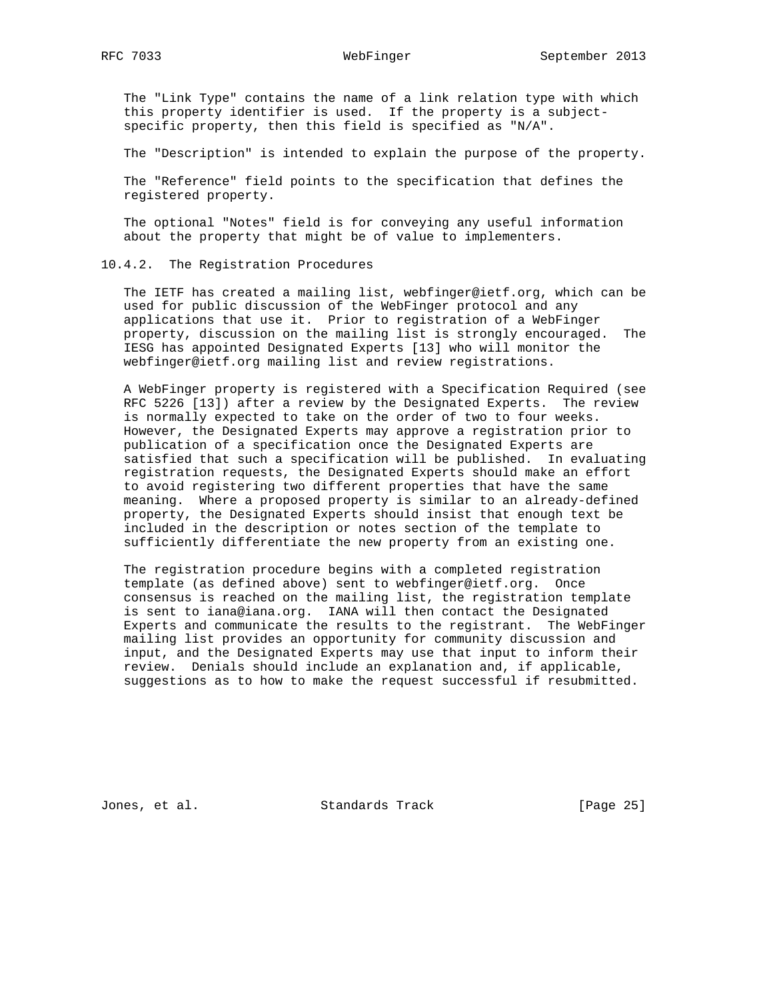The "Link Type" contains the name of a link relation type with which this property identifier is used. If the property is a subject specific property, then this field is specified as "N/A".

The "Description" is intended to explain the purpose of the property.

 The "Reference" field points to the specification that defines the registered property.

 The optional "Notes" field is for conveying any useful information about the property that might be of value to implementers.

### 10.4.2. The Registration Procedures

 The IETF has created a mailing list, webfinger@ietf.org, which can be used for public discussion of the WebFinger protocol and any applications that use it. Prior to registration of a WebFinger property, discussion on the mailing list is strongly encouraged. The IESG has appointed Designated Experts [13] who will monitor the webfinger@ietf.org mailing list and review registrations.

 A WebFinger property is registered with a Specification Required (see RFC 5226 [13]) after a review by the Designated Experts. The review is normally expected to take on the order of two to four weeks. However, the Designated Experts may approve a registration prior to publication of a specification once the Designated Experts are satisfied that such a specification will be published. In evaluating registration requests, the Designated Experts should make an effort to avoid registering two different properties that have the same meaning. Where a proposed property is similar to an already-defined property, the Designated Experts should insist that enough text be included in the description or notes section of the template to sufficiently differentiate the new property from an existing one.

 The registration procedure begins with a completed registration template (as defined above) sent to webfinger@ietf.org. Once consensus is reached on the mailing list, the registration template is sent to iana@iana.org. IANA will then contact the Designated Experts and communicate the results to the registrant. The WebFinger mailing list provides an opportunity for community discussion and input, and the Designated Experts may use that input to inform their review. Denials should include an explanation and, if applicable, suggestions as to how to make the request successful if resubmitted.

Jones, et al. Standards Track [Page 25]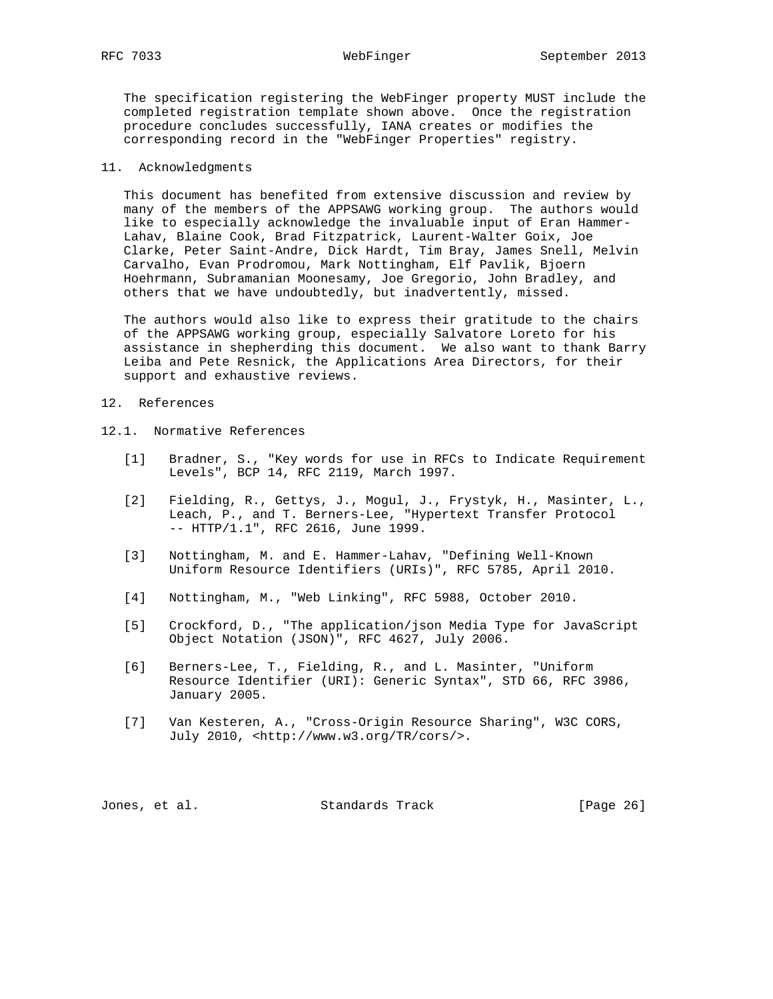The specification registering the WebFinger property MUST include the completed registration template shown above. Once the registration procedure concludes successfully, IANA creates or modifies the corresponding record in the "WebFinger Properties" registry.

### 11. Acknowledgments

 This document has benefited from extensive discussion and review by many of the members of the APPSAWG working group. The authors would like to especially acknowledge the invaluable input of Eran Hammer- Lahav, Blaine Cook, Brad Fitzpatrick, Laurent-Walter Goix, Joe Clarke, Peter Saint-Andre, Dick Hardt, Tim Bray, James Snell, Melvin Carvalho, Evan Prodromou, Mark Nottingham, Elf Pavlik, Bjoern Hoehrmann, Subramanian Moonesamy, Joe Gregorio, John Bradley, and others that we have undoubtedly, but inadvertently, missed.

 The authors would also like to express their gratitude to the chairs of the APPSAWG working group, especially Salvatore Loreto for his assistance in shepherding this document. We also want to thank Barry Leiba and Pete Resnick, the Applications Area Directors, for their support and exhaustive reviews.

- 12. References
- 12.1. Normative References
	- [1] Bradner, S., "Key words for use in RFCs to Indicate Requirement Levels", BCP 14, RFC 2119, March 1997.
	- [2] Fielding, R., Gettys, J., Mogul, J., Frystyk, H., Masinter, L., Leach, P., and T. Berners-Lee, "Hypertext Transfer Protocol -- HTTP/1.1", RFC 2616, June 1999.
	- [3] Nottingham, M. and E. Hammer-Lahav, "Defining Well-Known Uniform Resource Identifiers (URIs)", RFC 5785, April 2010.
	- [4] Nottingham, M., "Web Linking", RFC 5988, October 2010.
	- [5] Crockford, D., "The application/json Media Type for JavaScript Object Notation (JSON)", RFC 4627, July 2006.
	- [6] Berners-Lee, T., Fielding, R., and L. Masinter, "Uniform Resource Identifier (URI): Generic Syntax", STD 66, RFC 3986, January 2005.
	- [7] Van Kesteren, A., "Cross-Origin Resource Sharing", W3C CORS, July 2010, <http://www.w3.org/TR/cors/>.

| Standards Track<br>Jones, et al. | [Page 26] |  |  |
|----------------------------------|-----------|--|--|
|----------------------------------|-----------|--|--|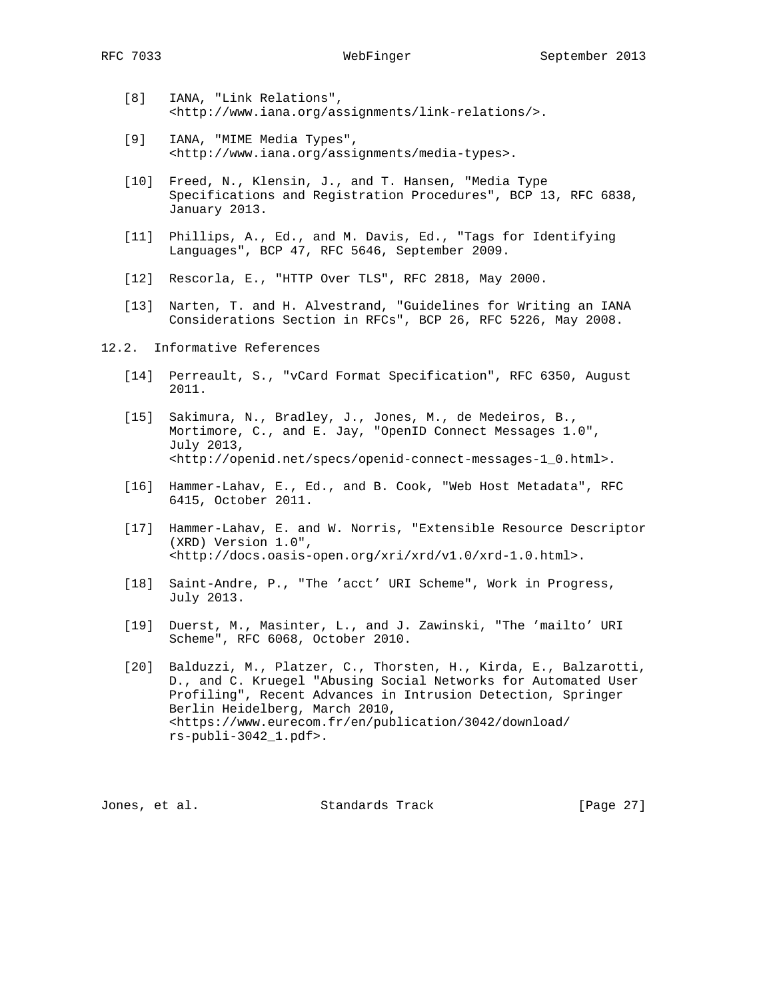- [8] IANA, "Link Relations", <http://www.iana.org/assignments/link-relations/>.
- [9] IANA, "MIME Media Types", <http://www.iana.org/assignments/media-types>.
- [10] Freed, N., Klensin, J., and T. Hansen, "Media Type Specifications and Registration Procedures", BCP 13, RFC 6838, January 2013.
- [11] Phillips, A., Ed., and M. Davis, Ed., "Tags for Identifying Languages", BCP 47, RFC 5646, September 2009.
- [12] Rescorla, E., "HTTP Over TLS", RFC 2818, May 2000.
- [13] Narten, T. and H. Alvestrand, "Guidelines for Writing an IANA Considerations Section in RFCs", BCP 26, RFC 5226, May 2008.
- 12.2. Informative References
	- [14] Perreault, S., "vCard Format Specification", RFC 6350, August 2011.
	- [15] Sakimura, N., Bradley, J., Jones, M., de Medeiros, B., Mortimore, C., and E. Jay, "OpenID Connect Messages 1.0", July 2013, <http://openid.net/specs/openid-connect-messages-1\_0.html>.
	- [16] Hammer-Lahav, E., Ed., and B. Cook, "Web Host Metadata", RFC 6415, October 2011.
	- [17] Hammer-Lahav, E. and W. Norris, "Extensible Resource Descriptor (XRD) Version 1.0", <http://docs.oasis-open.org/xri/xrd/v1.0/xrd-1.0.html>.
	- [18] Saint-Andre, P., "The 'acct' URI Scheme", Work in Progress, July 2013.
	- [19] Duerst, M., Masinter, L., and J. Zawinski, "The 'mailto' URI Scheme", RFC 6068, October 2010.
	- [20] Balduzzi, M., Platzer, C., Thorsten, H., Kirda, E., Balzarotti, D., and C. Kruegel "Abusing Social Networks for Automated User Profiling", Recent Advances in Intrusion Detection, Springer Berlin Heidelberg, March 2010, <https://www.eurecom.fr/en/publication/3042/download/ rs-publi-3042\_1.pdf>.

Jones, et al. Standards Track [Page 27]